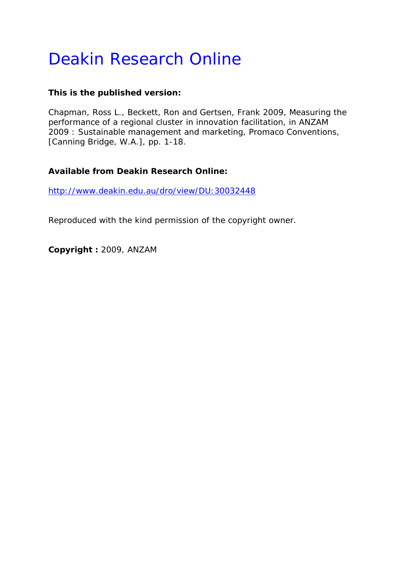# Deakin Research Online

# **This is the published version:**

Chapman, Ross L., Beckett, Ron and Gertsen, Frank 2009, Measuring the performance of a regional cluster in innovation facilitation*, in ANZAM 2009 : Sustainable management and marketing*, Promaco Conventions, [Canning Bridge, W.A.], pp. 1-18.

# **Available from Deakin Research Online:**

http://www.deakin.edu.au/dro/view/DU:30032448

Reproduced with the kind permission of the copyright owner.

**Copyright :** 2009, ANZAM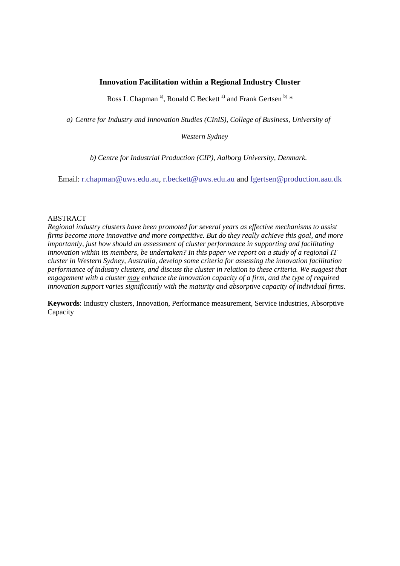# **Innovation Facilitation within a Regional Industry Cluster**

Ross L Chapman<sup>a)</sup>, Ronald C Beckett<sup>a)</sup> and Frank Gertsen  $\mathbf{^{b)} *$ 

*a) Centre for Industry and Innovation Studies (CInIS), College of Business, University of* 

*Western Sydney* 

*b) Centre for Industrial Production (CIP), Aalborg University, Denmark.* 

Email: [r.chapman@uws.edu.au,](mailto:r.chapman@uws.edu.au) [r.beckett@uws.edu.au](mailto:r.beckett@uws.edu.au) and [fgertsen@production.aau.dk](mailto:fgertsen@production.aau.dk)

#### ABSTRACT

*Regional industry clusters have been promoted for several years as effective mechanisms to assist firms become more innovative and more competitive. But do they really achieve this goal, and more importantly, just how should an assessment of cluster performance in supporting and facilitating innovation within its members, be undertaken? In this paper we report on a study of a regional IT cluster in Western Sydney, Australia, develop some criteria for assessing the innovation facilitation performance of industry clusters, and discuss the cluster in relation to these criteria. We suggest that*  engagement with a cluster <u>may</u> enhance the innovation capacity of a firm, and the type of required *innovation support varies significantly with the maturity and absorptive capacity of individual firms.* 

**Keywords**: Industry clusters, Innovation, Performance measurement, Service industries, Absorptive Capacity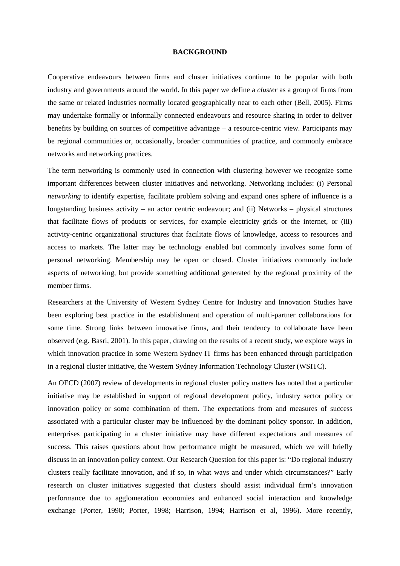#### **BACKGROUND**

Cooperative endeavours between firms and cluster initiatives continue to be popular with both industry and governments around the world. In this paper we define a *cluster* as a group of firms from the same or related industries normally located geographically near to each other (Bell, 2005). Firms may undertake formally or informally connected endeavours and resource sharing in order to deliver benefits by building on sources of competitive advantage – a resource-centric view. Participants may be regional communities or, occasionally, broader communities of practice, and commonly embrace networks and networking practices.

The term networking is commonly used in connection with clustering however we recognize some important differences between cluster initiatives and networking. Networking includes: (i) Personal *networking* to identify expertise, facilitate problem solving and expand ones sphere of influence is a longstanding business activity – an actor centric endeavour; and (ii) Networks – physical structures that facilitate flows of products or services, for example electricity grids or the internet, or (iii) activity-centric organizational structures that facilitate flows of knowledge, access to resources and access to markets. The latter may be technology enabled but commonly involves some form of personal networking. Membership may be open or closed. Cluster initiatives commonly include aspects of networking, but provide something additional generated by the regional proximity of the member firms.

Researchers at the University of Western Sydney Centre for Industry and Innovation Studies have been exploring best practice in the establishment and operation of multi-partner collaborations for some time. Strong links between innovative firms, and their tendency to collaborate have been observed (e.g. Basri, 2001). In this paper, drawing on the results of a recent study, we explore ways in which innovation practice in some Western Sydney IT firms has been enhanced through participation in a regional cluster initiative, the Western Sydney Information Technology Cluster (WSITC).

An OECD (2007) review of developments in regional cluster policy matters has noted that a particular initiative may be established in support of regional development policy, industry sector policy or innovation policy or some combination of them. The expectations from and measures of success associated with a particular cluster may be influenced by the dominant policy sponsor. In addition, enterprises participating in a cluster initiative may have different expectations and measures of success. This raises questions about how performance might be measured, which we will briefly discuss in an innovation policy context. Our Research Question for this paper is: "Do regional industry clusters really facilitate innovation, and if so, in what ways and under which circumstances?" Early research on cluster initiatives suggested that clusters should assist individual firm's innovation performance due to agglomeration economies and enhanced social interaction and knowledge exchange (Porter, 1990; Porter, 1998; Harrison, 1994; Harrison et al, 1996). More recently,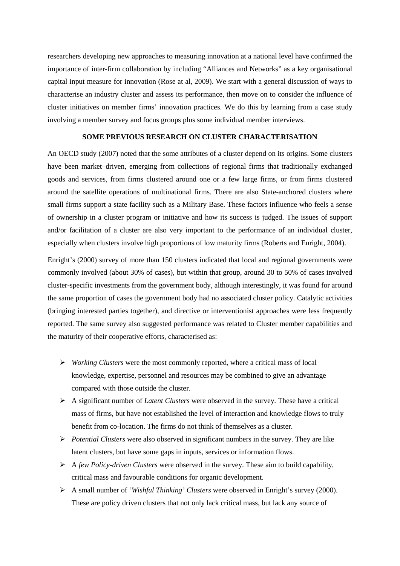researchers developing new approaches to measuring innovation at a national level have confirmed the importance of inter-firm collaboration by including "Alliances and Networks" as a key organisational capital input measure for innovation (Rose at al, 2009). We start with a general discussion of ways to characterise an industry cluster and assess its performance, then move on to consider the influence of cluster initiatives on member firms' innovation practices. We do this by learning from a case study involving a member survey and focus groups plus some individual member interviews.

## **SOME PREVIOUS RESEARCH ON CLUSTER CHARACTERISATION**

An OECD study (2007) noted that the some attributes of a cluster depend on its origins. Some clusters have been market–driven, emerging from collections of regional firms that traditionally exchanged goods and services, from firms clustered around one or a few large firms, or from firms clustered around the satellite operations of multinational firms. There are also State-anchored clusters where small firms support a state facility such as a Military Base. These factors influence who feels a sense of ownership in a cluster program or initiative and how its success is judged. The issues of support and/or facilitation of a cluster are also very important to the performance of an individual cluster, especially when clusters involve high proportions of low maturity firms (Roberts and Enright, 2004).

Enright's (2000) survey of more than 150 clusters indicated that local and regional governments were commonly involved (about 30% of cases), but within that group, around 30 to 50% of cases involved cluster-specific investments from the government body, although interestingly, it was found for around the same proportion of cases the government body had no associated cluster policy. Catalytic activities (bringing interested parties together), and directive or interventionist approaches were less frequently reported. The same survey also suggested performance was related to Cluster member capabilities and the maturity of their cooperative efforts, characterised as:

- *Working Clusters* were the most commonly reported, where a critical mass of local knowledge, expertise, personnel and resources may be combined to give an advantage compared with those outside the cluster.
- A significant number of *Latent Clusters* were observed in the survey. These have a critical mass of firms, but have not established the level of interaction and knowledge flows to truly benefit from co-location. The firms do not think of themselves as a cluster.
- *Potential Clusters* were also observed in significant numbers in the survey. They are like latent clusters, but have some gaps in inputs, services or information flows.
- A *few Policy-driven Clusters* were observed in the survey. These aim to build capability, critical mass and favourable conditions for organic development.
- A small number of '*Wishful Thinking' Clusters* were observed in Enright's survey (2000). These are policy driven clusters that not only lack critical mass, but lack any source of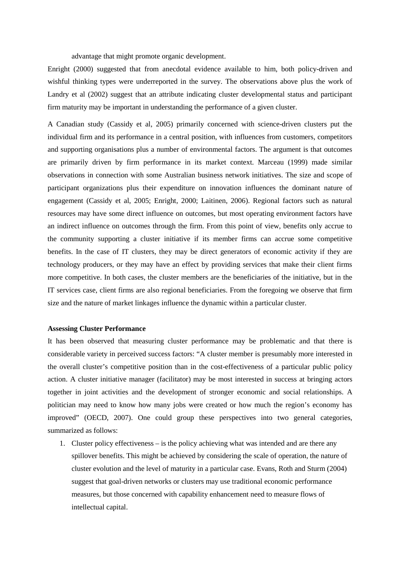advantage that might promote organic development.

Enright (2000) suggested that from anecdotal evidence available to him, both policy-driven and wishful thinking types were underreported in the survey. The observations above plus the work of Landry et al (2002) suggest that an attribute indicating cluster developmental status and participant firm maturity may be important in understanding the performance of a given cluster.

A Canadian study (Cassidy et al, 2005) primarily concerned with science-driven clusters put the individual firm and its performance in a central position, with influences from customers, competitors and supporting organisations plus a number of environmental factors. The argument is that outcomes are primarily driven by firm performance in its market context. Marceau (1999) made similar observations in connection with some Australian business network initiatives. The size and scope of participant organizations plus their expenditure on innovation influences the dominant nature of engagement (Cassidy et al, 2005; Enright, 2000; Laitinen, 2006). Regional factors such as natural resources may have some direct influence on outcomes, but most operating environment factors have an indirect influence on outcomes through the firm. From this point of view, benefits only accrue to the community supporting a cluster initiative if its member firms can accrue some competitive benefits. In the case of IT clusters, they may be direct generators of economic activity if they are technology producers, or they may have an effect by providing services that make their client firms more competitive. In both cases, the cluster members are the beneficiaries of the initiative, but in the IT services case, client firms are also regional beneficiaries. From the foregoing we observe that firm size and the nature of market linkages influence the dynamic within a particular cluster.

#### **Assessing Cluster Performance**

It has been observed that measuring cluster performance may be problematic and that there is considerable variety in perceived success factors: "A cluster member is presumably more interested in the overall cluster's competitive position than in the cost-effectiveness of a particular public policy action. A cluster initiative manager (facilitator) may be most interested in success at bringing actors together in joint activities and the development of stronger economic and social relationships. A politician may need to know how many jobs were created or how much the region's economy has improved" (OECD, 2007). One could group these perspectives into two general categories, summarized as follows:

1. Cluster policy effectiveness – is the policy achieving what was intended and are there any spillover benefits. This might be achieved by considering the scale of operation, the nature of cluster evolution and the level of maturity in a particular case. Evans, Roth and Sturm (2004) suggest that goal-driven networks or clusters may use traditional economic performance measures, but those concerned with capability enhancement need to measure flows of intellectual capital.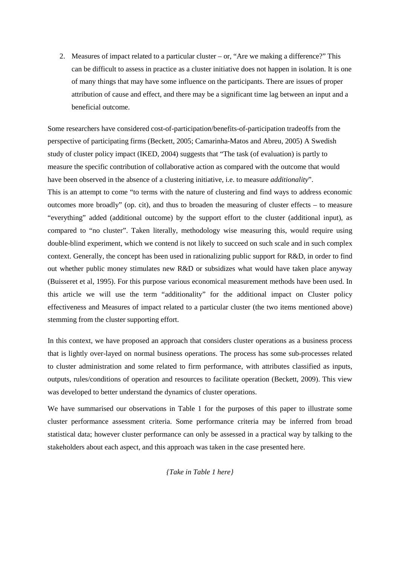2. Measures of impact related to a particular cluster – or, "Are we making a difference?" This can be difficult to assess in practice as a cluster initiative does not happen in isolation. It is one of many things that may have some influence on the participants. There are issues of proper attribution of cause and effect, and there may be a significant time lag between an input and a beneficial outcome.

Some researchers have considered cost-of-participation/benefits-of-participation tradeoffs from the perspective of participating firms (Beckett, 2005; Camarinha-Matos and Abreu, 2005) A Swedish study of cluster policy impact (IKED, 2004) suggests that "The task (of evaluation) is partly to measure the specific contribution of collaborative action as compared with the outcome that would have been observed in the absence of a clustering initiative, i.e. to measure *additionality*". This is an attempt to come "to terms with the nature of clustering and find ways to address economic outcomes more broadly" (op. cit), and thus to broaden the measuring of cluster effects – to measure "everything" added (additional outcome) by the support effort to the cluster (additional input), as compared to "no cluster". Taken literally, methodology wise measuring this, would require using double-blind experiment, which we contend is not likely to succeed on such scale and in such complex context. Generally, the concept has been used in rationalizing public support for R&D, in order to find out whether public money stimulates new R&D or subsidizes what would have taken place anyway (Buisseret et al, 1995). For this purpose various economical measurement methods have been used. In this article we will use the term "additionality" for the additional impact on Cluster policy effectiveness and Measures of impact related to a particular cluster (the two items mentioned above) stemming from the cluster supporting effort.

In this context, we have proposed an approach that considers cluster operations as a business process that is lightly over-layed on normal business operations. The process has some sub-processes related to cluster administration and some related to firm performance, with attributes classified as inputs, outputs, rules/conditions of operation and resources to facilitate operation (Beckett, 2009). This view was developed to better understand the dynamics of cluster operations.

We have summarised our observations in Table 1 for the purposes of this paper to illustrate some cluster performance assessment criteria. Some performance criteria may be inferred from broad statistical data; however cluster performance can only be assessed in a practical way by talking to the stakeholders about each aspect, and this approach was taken in the case presented here.

*{Take in Table 1 here}*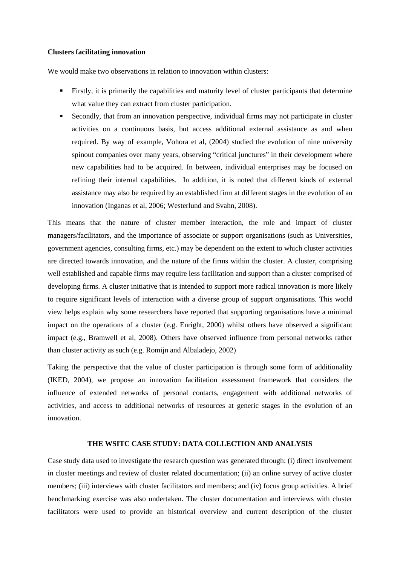#### **Clusters facilitating innovation**

We would make two observations in relation to innovation within clusters:

- Firstly, it is primarily the capabilities and maturity level of cluster participants that determine what value they can extract from cluster participation.
- Secondly, that from an innovation perspective, individual firms may not participate in cluster activities on a continuous basis, but access additional external assistance as and when required. By way of example, Vohora et al, (2004) studied the evolution of nine university spinout companies over many years, observing "critical junctures" in their development where new capabilities had to be acquired. In between, individual enterprises may be focused on refining their internal capabilities. In addition, it is noted that different kinds of external assistance may also be required by an established firm at different stages in the evolution of an innovation (Inganas et al, 2006; Westerlund and Svahn, 2008).

This means that the nature of cluster member interaction, the role and impact of cluster managers/facilitators, and the importance of associate or support organisations (such as Universities, government agencies, consulting firms, etc.) may be dependent on the extent to which cluster activities are directed towards innovation, and the nature of the firms within the cluster. A cluster, comprising well established and capable firms may require less facilitation and support than a cluster comprised of developing firms. A cluster initiative that is intended to support more radical innovation is more likely to require significant levels of interaction with a diverse group of support organisations. This world view helps explain why some researchers have reported that supporting organisations have a minimal impact on the operations of a cluster (e.g. Enright, 2000) whilst others have observed a significant impact (e.g., Bramwell et al, 2008). Others have observed influence from personal networks rather than cluster activity as such (e.g. Romijn and Albaladejo, 2002)

Taking the perspective that the value of cluster participation is through some form of additionality (IKED, 2004), we propose an innovation facilitation assessment framework that considers the influence of extended networks of personal contacts, engagement with additional networks of activities, and access to additional networks of resources at generic stages in the evolution of an innovation.

#### **THE WSITC CASE STUDY: DATA COLLECTION AND ANALYSIS**

Case study data used to investigate the research question was generated through: (i) direct involvement in cluster meetings and review of cluster related documentation; (ii) an online survey of active cluster members; (iii) interviews with cluster facilitators and members; and (iv) focus group activities. A brief benchmarking exercise was also undertaken. The cluster documentation and interviews with cluster facilitators were used to provide an historical overview and current description of the cluster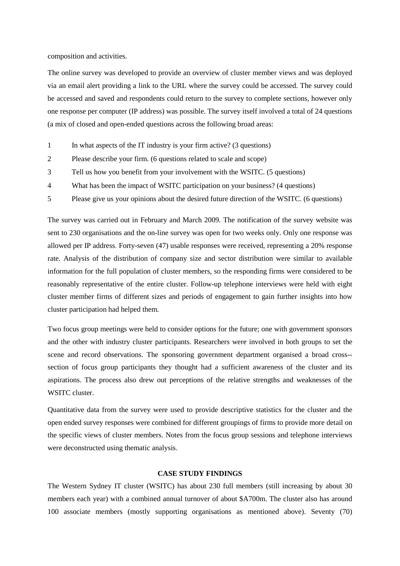composition and activities.

The online survey was developed to provide an overview of cluster member views and was deployed via an email alert providing a link to the URL where the survey could be accessed. The survey could be accessed and saved and respondents could return to the survey to complete sections, however only one response per computer (IP address) was possible. The survey itself involved a total of 24 questions (a mix of closed and open-ended questions across the following broad areas:

- 1 In what aspects of the IT industry is your firm active? (3 questions)
- 2 Please describe your firm. (6 questions related to scale and scope)
- 3 Tell us how you benefit from your involvement with the WSITC. (5 questions)
- 4 What has been the impact of WSITC participation on your business? (4 questions)
- 5 Please give us your opinions about the desired future direction of the WSITC. (6 questions)

The survey was carried out in February and March 2009. The notification of the survey website was sent to 230 organisations and the on-line survey was open for two weeks only. Only one response was allowed per IP address. Forty-seven (47) usable responses were received, representing a 20% response rate. Analysis of the distribution of company size and sector distribution were similar to available information for the full population of cluster members, so the responding firms were considered to be reasonably representative of the entire cluster. Follow-up telephone interviews were held with eight cluster member firms of different sizes and periods of engagement to gain further insights into how cluster participation had helped them.

Two focus group meetings were held to consider options for the future; one with government sponsors and the other with industry cluster participants. Researchers were involved in both groups to set the scene and record observations. The sponsoring government department organised a broad cross- section of focus group participants they thought had a sufficient awareness of the cluster and its aspirations. The process also drew out perceptions of the relative strengths and weaknesses of the WSITC cluster.

Quantitative data from the survey were used to provide descriptive statistics for the cluster and the open ended survey responses were combined for different groupings of firms to provide more detail on the specific views of cluster members. Notes from the focus group sessions and telephone interviews were deconstructed using thematic analysis.

#### **CASE STUDY FINDINGS**

The Western Sydney IT cluster (WSITC) has about 230 full members (still increasing by about 30 members each year) with a combined annual turnover of about \$A700m. The cluster also has around 100 associate members (mostly supporting organisations as mentioned above). Seventy (70)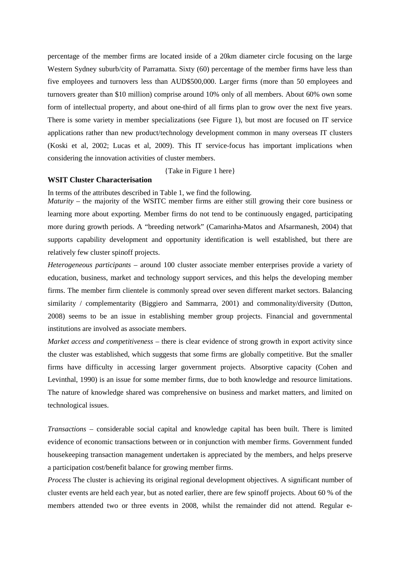percentage of the member firms are located inside of a 20km diameter circle focusing on the large Western Sydney suburb/city of Parramatta. Sixty (60) percentage of the member firms have less than five employees and turnovers less than AUD\$500,000. Larger firms (more than 50 employees and turnovers greater than \$10 million) comprise around 10% only of all members. About 60% own some form of intellectual property, and about one-third of all firms plan to grow over the next five years. There is some variety in member specializations (see Figure 1), but most are focused on IT service applications rather than new product/technology development common in many overseas IT clusters (Koski et al, 2002; Lucas et al, 2009). This IT service-focus has important implications when considering the innovation activities of cluster members.

{Take in Figure 1 here}

## **WSIT Cluster Characterisation**

In terms of the attributes described in Table 1, we find the following.

*Maturity* – the majority of the WSITC member firms are either still growing their core business or learning more about exporting. Member firms do not tend to be continuously engaged, participating more during growth periods. A "breeding network" (Camarinha-Matos and Afsarmanesh, 2004) that supports capability development and opportunity identification is well established, but there are relatively few cluster spinoff projects.

*Heterogeneous participants* – around 100 cluster associate member enterprises provide a variety of education, business, market and technology support services, and this helps the developing member firms. The member firm clientele is commonly spread over seven different market sectors. Balancing similarity / complementarity (Biggiero and Sammarra, 2001) and commonality/diversity (Dutton, 2008) seems to be an issue in establishing member group projects. Financial and governmental institutions are involved as associate members.

*Market access and competitiveness* – there is clear evidence of strong growth in export activity since the cluster was established, which suggests that some firms are globally competitive. But the smaller firms have difficulty in accessing larger government projects. Absorptive capacity (Cohen and Levinthal, 1990) is an issue for some member firms, due to both knowledge and resource limitations. The nature of knowledge shared was comprehensive on business and market matters, and limited on technological issues.

*Transactions* – considerable social capital and knowledge capital has been built. There is limited evidence of economic transactions between or in conjunction with member firms. Government funded housekeeping transaction management undertaken is appreciated by the members, and helps preserve a participation cost/benefit balance for growing member firms.

*Process* The cluster is achieving its original regional development objectives. A significant number of cluster events are held each year, but as noted earlier, there are few spinoff projects. About 60 % of the members attended two or three events in 2008, whilst the remainder did not attend. Regular e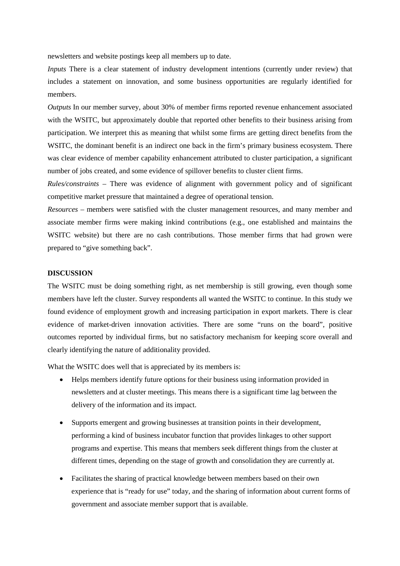newsletters and website postings keep all members up to date.

*Inputs* There is a clear statement of industry development intentions (currently under review) that includes a statement on innovation, and some business opportunities are regularly identified for members.

*Outputs* In our member survey, about 30% of member firms reported revenue enhancement associated with the WSITC, but approximately double that reported other benefits to their business arising from participation. We interpret this as meaning that whilst some firms are getting direct benefits from the WSITC, the dominant benefit is an indirect one back in the firm's primary business ecosystem. There was clear evidence of member capability enhancement attributed to cluster participation, a significant number of jobs created, and some evidence of spillover benefits to cluster client firms.

*Rules/constraints* – There was evidence of alignment with government policy and of significant competitive market pressure that maintained a degree of operational tension.

*Resources* – members were satisfied with the cluster management resources, and many member and associate member firms were making inkind contributions (e.g., one established and maintains the WSITC website) but there are no cash contributions. Those member firms that had grown were prepared to "give something back".

#### **DISCUSSION**

The WSITC must be doing something right, as net membership is still growing, even though some members have left the cluster. Survey respondents all wanted the WSITC to continue. In this study we found evidence of employment growth and increasing participation in export markets. There is clear evidence of market-driven innovation activities. There are some "runs on the board", positive outcomes reported by individual firms, but no satisfactory mechanism for keeping score overall and clearly identifying the nature of additionality provided.

What the WSITC does well that is appreciated by its members is:

- Helps members identify future options for their business using information provided in newsletters and at cluster meetings. This means there is a significant time lag between the delivery of the information and its impact.
- Supports emergent and growing businesses at transition points in their development, performing a kind of business incubator function that provides linkages to other support programs and expertise. This means that members seek different things from the cluster at different times, depending on the stage of growth and consolidation they are currently at.
- Facilitates the sharing of practical knowledge between members based on their own experience that is "ready for use" today, and the sharing of information about current forms of government and associate member support that is available.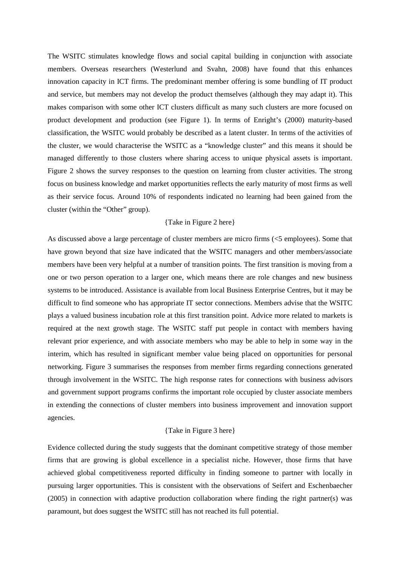The WSITC stimulates knowledge flows and social capital building in conjunction with associate members. Overseas researchers (Westerlund and Svahn, 2008) have found that this enhances innovation capacity in ICT firms. The predominant member offering is some bundling of IT product and service, but members may not develop the product themselves (although they may adapt it). This makes comparison with some other ICT clusters difficult as many such clusters are more focused on product development and production (see Figure 1). In terms of Enright's (2000) maturity-based classification, the WSITC would probably be described as a latent cluster. In terms of the activities of the cluster, we would characterise the WSITC as a "knowledge cluster" and this means it should be managed differently to those clusters where sharing access to unique physical assets is important. Figure 2 shows the survey responses to the question on learning from cluster activities. The strong focus on business knowledge and market opportunities reflects the early maturity of most firms as well as their service focus. Around 10% of respondents indicated no learning had been gained from the cluster (within the "Other" group).

#### {Take in Figure 2 here}

As discussed above a large percentage of cluster members are micro firms (<5 employees). Some that have grown beyond that size have indicated that the WSITC managers and other members/associate members have been very helpful at a number of transition points. The first transition is moving from a one or two person operation to a larger one, which means there are role changes and new business systems to be introduced. Assistance is available from local Business Enterprise Centres, but it may be difficult to find someone who has appropriate IT sector connections. Members advise that the WSITC plays a valued business incubation role at this first transition point. Advice more related to markets is required at the next growth stage. The WSITC staff put people in contact with members having relevant prior experience, and with associate members who may be able to help in some way in the interim, which has resulted in significant member value being placed on opportunities for personal networking. Figure 3 summarises the responses from member firms regarding connections generated through involvement in the WSITC. The high response rates for connections with business advisors and government support programs confirms the important role occupied by cluster associate members in extending the connections of cluster members into business improvement and innovation support agencies.

#### {Take in Figure 3 here}

Evidence collected during the study suggests that the dominant competitive strategy of those member firms that are growing is global excellence in a specialist niche. However, those firms that have achieved global competitiveness reported difficulty in finding someone to partner with locally in pursuing larger opportunities. This is consistent with the observations of Seifert and Eschenbaecher (2005) in connection with adaptive production collaboration where finding the right partner(s) was paramount, but does suggest the WSITC still has not reached its full potential.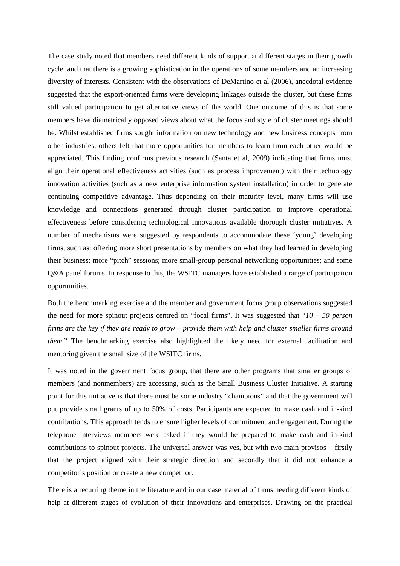The case study noted that members need different kinds of support at different stages in their growth cycle, and that there is a growing sophistication in the operations of some members and an increasing diversity of interests. Consistent with the observations of DeMartino et al (2006), anecdotal evidence suggested that the export-oriented firms were developing linkages outside the cluster, but these firms still valued participation to get alternative views of the world. One outcome of this is that some members have diametrically opposed views about what the focus and style of cluster meetings should be. Whilst established firms sought information on new technology and new business concepts from other industries, others felt that more opportunities for members to learn from each other would be appreciated. This finding confirms previous research (Santa et al, 2009) indicating that firms must align their operational effectiveness activities (such as process improvement) with their technology innovation activities (such as a new enterprise information system installation) in order to generate continuing competitive advantage. Thus depending on their maturity level, many firms will use knowledge and connections generated through cluster participation to improve operational effectiveness before considering technological innovations available thorough cluster initiatives. A number of mechanisms were suggested by respondents to accommodate these 'young' developing firms, such as: offering more short presentations by members on what they had learned in developing their business; more "pitch" sessions; more small-group personal networking opportunities; and some Q&A panel forums. In response to this, the WSITC managers have established a range of participation opportunities.

Both the benchmarking exercise and the member and government focus group observations suggested the need for more spinout projects centred on "focal firms". It was suggested that "*10 – 50 person* firms are the key if they are ready to grow – provide them with help and cluster smaller firms around *them*." The benchmarking exercise also highlighted the likely need for external facilitation and mentoring given the small size of the WSITC firms.

It was noted in the government focus group, that there are other programs that smaller groups of members (and nonmembers) are accessing, such as the Small Business Cluster Initiative. A starting point for this initiative is that there must be some industry "champions" and that the government will put provide small grants of up to 50% of costs. Participants are expected to make cash and in-kind contributions. This approach tends to ensure higher levels of commitment and engagement. During the telephone interviews members were asked if they would be prepared to make cash and in-kind contributions to spinout projects. The universal answer was yes, but with two main provisos – firstly that the project aligned with their strategic direction and secondly that it did not enhance a competitor's position or create a new competitor.

There is a recurring theme in the literature and in our case material of firms needing different kinds of help at different stages of evolution of their innovations and enterprises. Drawing on the practical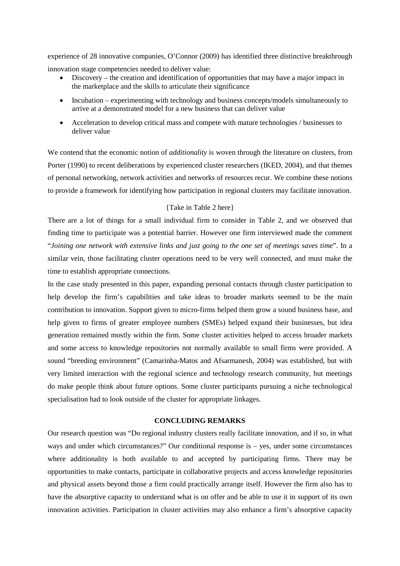experience of 28 innovative companies, O'Connor (2009) has identified three distinctive breakthrough innovation stage competencies needed to deliver value:

- Discovery the creation and identification of opportunities that may have a major impact in the marketplace and the skills to articulate their significance
- Incubation experimenting with technology and business concepts/models simultaneously to arrive at a demonstrated model for a new business that can deliver value
- Acceleration to develop critical mass and compete with mature technologies / businesses to deliver value

We contend that the economic notion of *additionality* is woven through the literature on clusters, from Porter (1990) to recent deliberations by experienced cluster researchers (IKED, 2004), and that themes of personal networking, network activities and networks of resources recur. We combine these notions to provide a framework for identifying how participation in regional clusters may facilitate innovation.

#### {Take in Table 2 here}

There are a lot of things for a small individual firm to consider in Table 2, and we observed that finding time to participate was a potential barrier. However one firm interviewed made the comment "*Joining one network with extensive links and just going to the one set of meetings saves time*". In a similar vein, those facilitating cluster operations need to be very well connected, and must make the time to establish appropriate connections.

In the case study presented in this paper, expanding personal contacts through cluster participation to help develop the firm's capabilities and take ideas to broader markets seemed to be the main contribution to innovation. Support given to micro-firms helped them grow a sound business base, and help given to firms of greater employee numbers (SMEs) helped expand their businesses, but idea generation remained mostly within the firm. Some cluster activities helped to access broader markets and some access to knowledge repositories not normally available to small firms were provided. A sound "breeding environment" (Camarinha-Matos and Afsarmanesh, 2004) was established, but with very limited interaction with the regional science and technology research community, but meetings do make people think about future options. Some cluster participants pursuing a niche technological specialisation had to look outside of the cluster for appropriate linkages.

#### **CONCLUDING REMARKS**

Our research question was "Do regional industry clusters really facilitate innovation, and if so, in what ways and under which circumstances?" Our conditional response is – yes, under some circumstances where additionality is both available to and accepted by participating firms. There may be opportunities to make contacts, participate in collaborative projects and access knowledge repositories and physical assets beyond those a firm could practically arrange itself. However the firm also has to have the absorptive capacity to understand what is on offer and be able to use it in support of its own innovation activities. Participation in cluster activities may also enhance a firm's absorptive capacity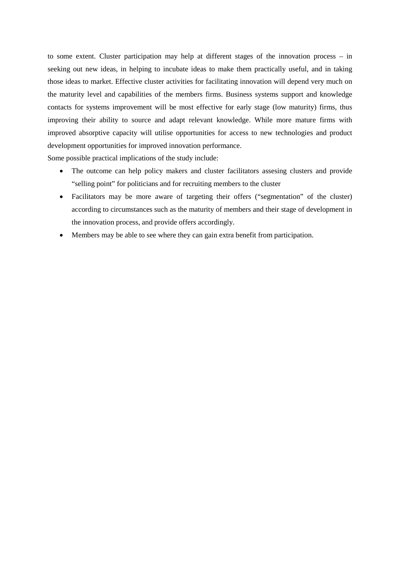to some extent. Cluster participation may help at different stages of the innovation process – in seeking out new ideas, in helping to incubate ideas to make them practically useful, and in taking those ideas to market. Effective cluster activities for facilitating innovation will depend very much on the maturity level and capabilities of the members firms. Business systems support and knowledge contacts for systems improvement will be most effective for early stage (low maturity) firms, thus improving their ability to source and adapt relevant knowledge. While more mature firms with improved absorptive capacity will utilise opportunities for access to new technologies and product development opportunities for improved innovation performance.

Some possible practical implications of the study include:

- The outcome can help policy makers and cluster facilitators assesing clusters and provide "selling point" for politicians and for recruiting members to the cluster
- Facilitators may be more aware of targeting their offers ("segmentation" of the cluster) according to circumstances such as the maturity of members and their stage of development in the innovation process, and provide offers accordingly.
- Members may be able to see where they can gain extra benefit from participation.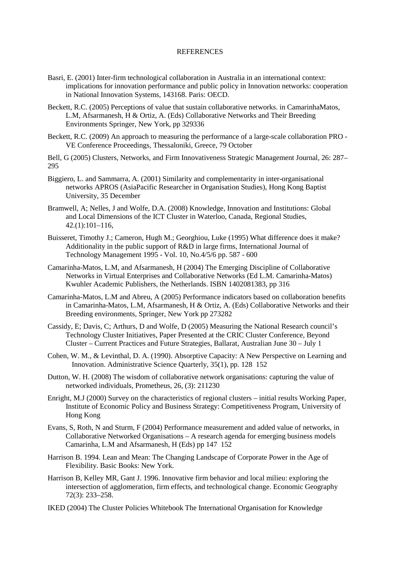#### REFERENCES

- Basri, E. (2001) Inter-firm technological collaboration in Australia in an international context: implications for innovation performance and public policy in Innovation networks: cooperation in National Innovation Systems, 143168. Paris: OECD.
- Beckett, R.C. (2005) Perceptions of value that sustain collaborative networks. in CamarinhaMatos, L.M, Afsarmanesh, H & Ortiz, A. (Eds) Collaborative Networks and Their Breeding Environments Springer, New York, pp 329336
- Beckett, R.C. (2009) An approach to measuring the performance of a large-scale collaboration PRO VE Conference Proceedings, Thessaloniki, Greece, 79 October
- Bell, G (2005) Clusters, Networks, and Firm Innovativeness Strategic Management Journal, 26: 287– 295
- Biggiero, L. and Sammarra, A. (2001) Similarity and complementarity in inter-organisational networks APROS (AsiaPacific Researcher in Organisation Studies), Hong Kong Baptist University, 35 December
- Bramwell, A; Nelles, J and Wolfe, D.A. (2008) Knowledge, Innovation and Institutions: Global and Local Dimensions of the ICT Cluster in Waterloo, Canada, Regional Studies, 42.(1):101–116,
- Buisseret, Timothy J.; Cameron, Hugh M.; Georghiou, Luke (1995) What difference does it make? Additionality in the public support of R&D in large firms, [International Journal of](http://www.inderscience.com/browse/index.php?journalID=27&year=1995&vol=10&issue=4/5/6)  [Technology Management 1995 -](http://www.inderscience.com/browse/index.php?journalID=27&year=1995&vol=10&issue=4/5/6) Vol. 10, No.4/5/6 pp. 587 - 600
- Camarinha-Matos, L.M, and Afsarmanesh, H (2004) The Emerging Discipline of Collaborative Networks in Virtual Enterprises and Collaborative Networks (Ed L.M. Camarinha-Matos) Kwuhler Academic Publishers, the Netherlands. ISBN 1402081383, pp 316
- Camarinha-Matos, L.M and Abreu, A (2005) Performance indicators based on collaboration benefits in Camarinha-Matos, L.M, Afsarmanesh, H & Ortiz, A. (Eds) Collaborative Networks and their Breeding environments, Springer, New York pp 273282
- Cassidy, E; Davis, C; Arthurs, D and Wolfe, D (2005) Measuring the National Research council's Technology Cluster Initiatives, Paper Presented at the CRIC Cluster Conference, Beyond Cluster – Current Practices and Future Strategies, Ballarat, Australian June 30 – July 1
- Cohen, W. M., & Levinthal, D. A. (1990). Absorptive Capacity: A New Perspective on Learning and Innovation. Administrative Science Quarterly, 35(1), pp. 128 152
- Dutton, W. H. (2008) The wisdom of collaborative network organisations: capturing the value of networked individuals, Prometheus, 26, (3): 211230
- Enright, M.J (2000) Survey on the characteristics of regional clusters initial results Working Paper, Institute of Economic Policy and Business Strategy: Competitiveness Program, University of Hong Kong
- Evans, S, Roth, N and Sturm, F (2004) Performance measurement and added value of networks, in Collaborative Networked Organisations – A research agenda for emerging business models Camarinha, L.M and Afsarmanesh, H (Eds) pp 147 152
- Harrison B. 1994. Lean and Mean: The Changing Landscape of Corporate Power in the Age of Flexibility. Basic Books: New York.
- Harrison B, Kelley MR, Gant J. 1996. Innovative firm behavior and local milieu: exploring the intersection of agglomeration, firm effects, and technological change. Economic Geography 72(3): 233–258.
- IKED (2004) The Cluster Policies Whitebook The International Organisation for Knowledge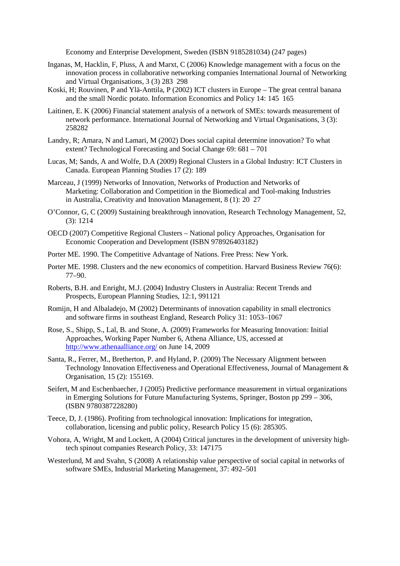Economy and Enterprise Development, Sweden (ISBN 9185281034) (247 pages)

- Inganas, M, Hacklin, F, Pluss, A and Marxt, C (2006) Knowledge management with a focus on the innovation process in collaborative networking companies International Journal of Networking and Virtual Organisations, 3 (3) 283 298
- Koski, H; Rouvinen, P and Ylä-Anttila, P (2002) ICT clusters in Europe The great central banana and the small Nordic potato. Information Economics and Policy 14: 145 165
- Laitinen, E. K (2006) Financial statement analysis of a network of SMEs: towards measurement of network performance. International Journal of Networking and Virtual Organisations, 3 (3): 258282
- Landry, R; Amara, N and Lamari, M (2002) Does social capital determine innovation? To what extent? Technological Forecasting and Social Change 69: 681 – 701
- Lucas, M; Sands, A and Wolfe, D.A (2009) Regional Clusters in a Global Industry: ICT Clusters in Canada. European Planning Studies 17 (2): 189
- Marceau, J (1999) Networks of Innovation, Networks of Production and Networks of Marketing: Collaboration and Competition in the Biomedical and Tool-making Industries in Australia, Creativity and Innovation Management, 8 (1): 20 27
- O'Connor, G, C (2009) Sustaining breakthrough innovation, Research Technology Management, 52, (3): 1214
- OECD (2007) Competitive Regional Clusters National policy Approaches, Organisation for Economic Cooperation and Development (ISBN 978926403182)
- Porter ME. 1990. The Competitive Advantage of Nations. Free Press: New York.
- Porter ME. 1998. Clusters and the new economics of competition. Harvard Business Review 76(6): 77–90.
- Roberts, B.H. and Enright, M.J. (2004) Industry Clusters in Australia: Recent Trends and Prospects, European Planning Studies, 12:1, 991121
- Romijn, H and Albaladejo, M (2002) Determinants of innovation capability in small electronics and software firms in southeast England, Research Policy 31: 1053–1067
- Rose, S., Shipp, S., Lal, B. and Stone, A. (2009) Frameworks for Measuring Innovation: Initial Approaches, Working Paper Number 6, Athena Alliance, US, accessed at <http://www.athenaalliance.org/> on June 14, 2009
- Santa, R., Ferrer, M., Bretherton, P. and Hyland, P. (2009) The Necessary Alignment between Technology Innovation Effectiveness and Operational Effectiveness, Journal of Management & Organisation, 15 (2): 155169.
- Seifert, M and Eschenbaecher, J (2005) Predictive performance measurement in virtual organizations in Emerging Solutions for Future Manufacturing Systems, Springer, Boston pp 299 – 306, (ISBN 9780387228280)
- Teece, D, J. (1986). Profiting from technological innovation: Implications for integration, collaboration, licensing and public policy, Research Policy 15 (6): 285305.
- Vohora, A, Wright, M and Lockett, A (2004) Critical junctures in the development of university hightech spinout companies Research Policy, 33: 147175
- Westerlund, M and Svahn, S (2008) A relationship value perspective of social capital in networks of software SMEs, Industrial Marketing Management, 37: 492–501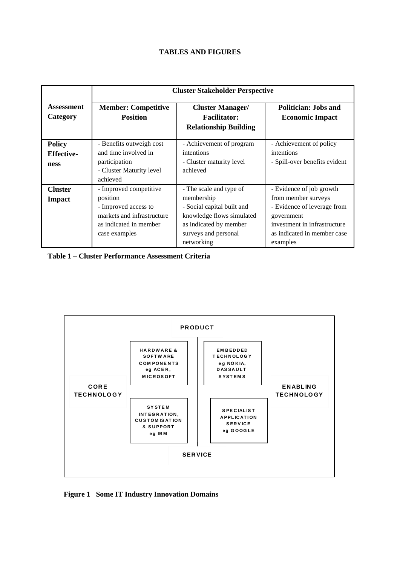# **TABLES AND FIGURES**

|                                            | <b>Cluster Stakeholder Perspective</b>                                                                                              |                                                                                                                                                                  |                                                                                                                                                                         |  |
|--------------------------------------------|-------------------------------------------------------------------------------------------------------------------------------------|------------------------------------------------------------------------------------------------------------------------------------------------------------------|-------------------------------------------------------------------------------------------------------------------------------------------------------------------------|--|
| Assessment<br>Category                     | <b>Member: Competitive</b><br><b>Position</b>                                                                                       | <b>Cluster Manager/</b><br><b>Facilitator:</b><br><b>Relationship Building</b>                                                                                   | <b>Politician: Jobs and</b><br><b>Economic Impact</b>                                                                                                                   |  |
| <b>Policy</b><br><b>Effective-</b><br>ness | - Benefits outweigh cost<br>and time involved in<br>participation<br>- Cluster Maturity level<br>achieved                           | - Achievement of program<br>intentions<br>- Cluster maturity level<br>achieved                                                                                   | - Achievement of policy<br>intentions<br>- Spill-over benefits evident                                                                                                  |  |
| <b>Cluster</b><br><b>Impact</b>            | - Improved competitive<br>position<br>- Improved access to<br>markets and infrastructure<br>as indicated in member<br>case examples | - The scale and type of<br>membership<br>- Social capital built and<br>knowledge flows simulated<br>as indicated by member<br>surveys and personal<br>networking | - Evidence of job growth<br>from member surveys<br>- Evidence of leverage from<br>government<br>investment in infrastructure<br>as indicated in member case<br>examples |  |

**Table 1 – Cluster Performance Assessment Criteria**



**Figure 1 Some IT Industry Innovation Domains**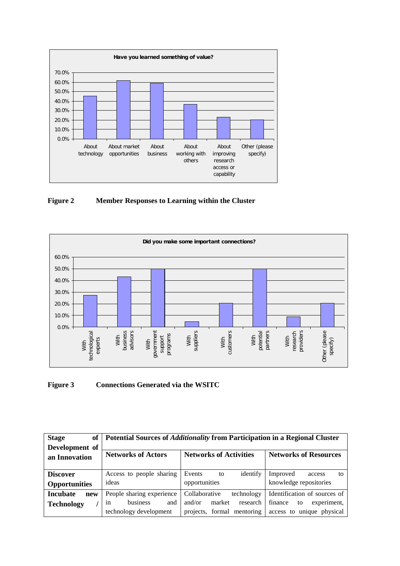

**Figure 2 Member Responses to Learning within the Cluster**



# **Figure 3 Connections Generated via the WSITC**

| <b>Stage</b><br>of                      | Potential Sources of <i>Additionality</i> from Participation in a Regional Cluster |                                           |                                                    |  |
|-----------------------------------------|------------------------------------------------------------------------------------|-------------------------------------------|----------------------------------------------------|--|
| Development of<br>an Innovation         | <b>Networks of Actors</b>                                                          | <b>Networks of Activities</b>             | <b>Networks of Resources</b>                       |  |
| <b>Discover</b><br><b>Opportunities</b> | Access to people sharing<br>ideas                                                  | identify<br>Events<br>to<br>opportunities | Improved<br>access<br>tο<br>knowledge repositories |  |
| <b>Incubate</b><br>new                  | People sharing experience                                                          | Collaborative<br>technology               | Identification of sources of                       |  |
| <b>Technology</b>                       | business<br>and<br>1n                                                              | market<br>and/or<br>research              | finance<br>experiment,<br>to                       |  |
|                                         | technology development                                                             | projects, formal mentoring                | access to unique physical                          |  |